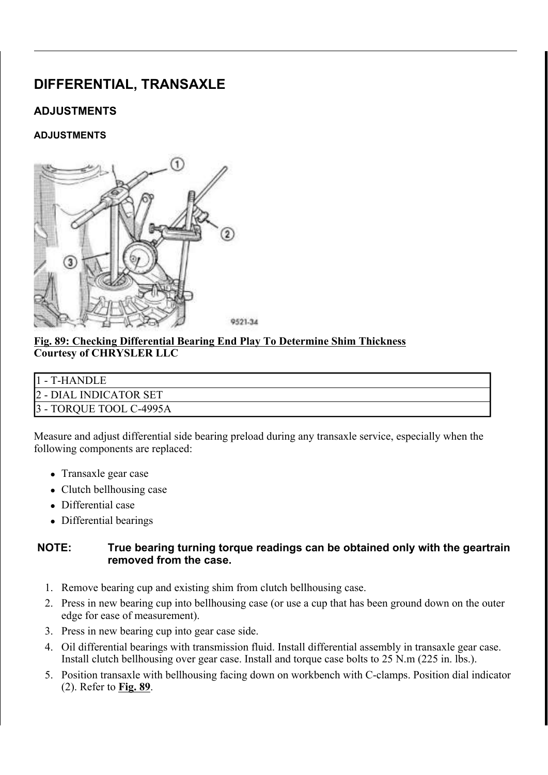# DIFFERENTIAL, TRANSAXLE

# ADJUSTMENTS

### ADJUSTMENTS



#### Fig. 89: Checking Differential Bearing End Play To Determine Shim Thickness Courtesy of CHRYSLER LLC

| 1 - T-HANDLE            |
|-------------------------|
| 2 - DIAL INDICATOR SET  |
| 3 - TORQUE TOOL C-4995A |

Measure and adjust differential side bearing preload during any transaxle service, especially when the following components are replaced:

- Transaxle gear case
- $\bullet$  Clutch bellhousing case
- Differential case
- Differential bearings

### NOTE: True bearing turning torque readings can be obtained only with the geartrain removed from the case.

- 1. Remove bearing cup and existing shim from clutch bellhousing case.
- 2. Press in new bearing cup into bellhousing case (or use a cup that has been ground down on the outer edge for ease of measurement).
- 3. Press in new bearing cup into gear case side.
- 4. Oil differential bearings with transmission fluid. Install differential assembly in transaxle gear case. Install clutch bellhousing over gear case. Install and torque case bolts to 25 N.m (225 in. lbs.).
- 5. Position transaxle with bellhousing facing down on workbench with C-clamps. Position dial indicator  $(2)$ . Refer to Fig. 89.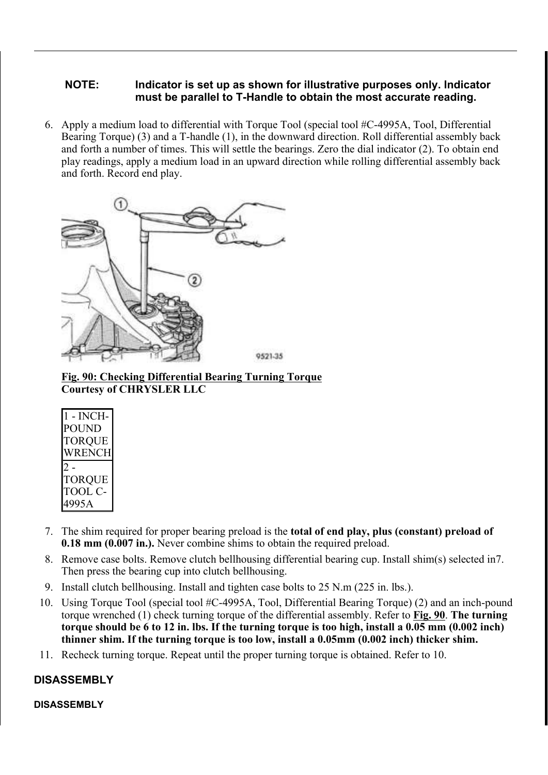### NOTE: Indicator is set up as shown for illustrative purposes only. Indicator must be parallel to T-Handle to obtain the most accurate reading.

6. Apply a medium load to differential with Torque Tool (special tool #C-4995A, Tool, Differential Bearing Torque) (3) and a T-handle (1), in the downward direction. Roll differential assembly back and forth a number of times. This will settle the bearings. Zero the dial indicator (2). To obtain end play readings, apply a medium load in an upward direction while rolling differential assembly back and forth. Record end play.



Fig. 90: Checking Differential Bearing Turning Torque Courtesy of CHRYSLER LLC

| l - INCH-<br>?OUND |
|--------------------|
| TORQUE             |
| WRENCH             |
|                    |
| <b>TORQUE</b>      |
| TOOL C-            |
| 4995A              |

- 7. The shim required for proper bearing preload is the total of end play, plus (constant) preload of 0.18 mm (0.007 in.). Never combine shims to obtain the required preload.
- 8. Remove case bolts. Remove clutch bellhousing differential bearing cup. Install shim(s) selected in7. Then press the bearing cup into clutch bellhousing.
- 9. Install clutch bellhousing. Install and tighten case bolts to 25 N.m (225 in. lbs.).
- 10. Using Torque Tool (special tool #C-4995A, Tool, Differential Bearing Torque) (2) and an inch-pound torque wrenched (1) check turning torque of the differential assembly. Refer to Fig. 90. The turning torque should be 6 to 12 in. lbs. If the turning torque is too high, install a 0.05 mm (0.002 inch) thinner shim. If the turning torque is too low, install a 0.05mm (0.002 inch) thicker shim.
- 11. Recheck turning torque. Repeat until the proper turning torque is obtained. Refer to 10.

# DISASSEMBLY

#### DISASSEMBLY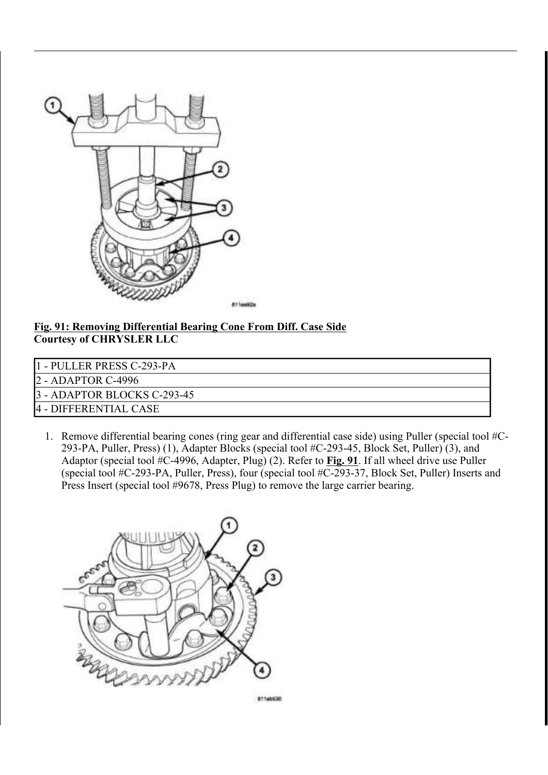

#### Fig. 91: Removing Differential Bearing Cone From Diff. Case Side Courtesy of CHRYSLER LLC

- 1 PULLER PRESS C-293-PA
- 2 ADAPTOR C-4996

3 - ADAPTOR BLOCKS C-293-45

4 - DIFFERENTIAL CASE

1. Remove differential bearing cones (ring gear and differential case side) using Puller (special tool #C-293-PA, Puller, Press) (1), Adapter Blocks (special tool #C-293-45, Block Set, Puller) (3), and Adaptor (special tool  $\#C-4996$ , Adapter, Plug) (2). Refer to Fig. 91. If all wheel drive use Puller (special tool #C-293-PA, Puller, Press), four (special tool #C-293-37, Block Set, Puller) Inserts and Press Insert (special tool #9678, Press Plug) to remove the large carrier bearing.



81146530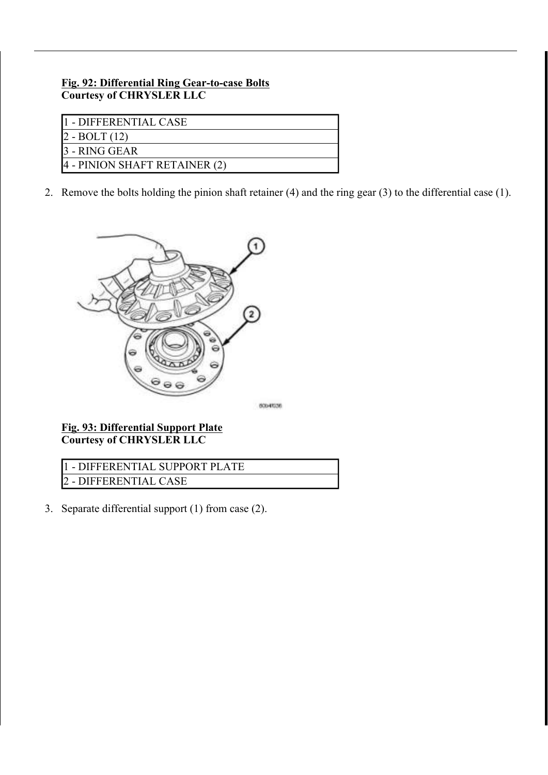#### Fig. 92: Differential Ring Gear-to-case Bolts Courtesy of CHRYSLER LLC

| I1 - DIFFERENTIAL CASE        |
|-------------------------------|
| $2 - BOLT(12)$                |
| 3 - RING GEAR                 |
| 4 - PINION SHAFT RETAINER (2) |

2. Remove the bolts holding the pinion shaft retainer (4) and the ring gear (3) to the differential case (1).



Fig. 93: Differential Support Plate Courtesy of CHRYSLER LLC

| 11 - DIFFERENTIAL SUPPORT PLATE |  |
|---------------------------------|--|
| 2 - DIFFERENTIAL CASE           |  |

3. Separate differential support (1) from case (2).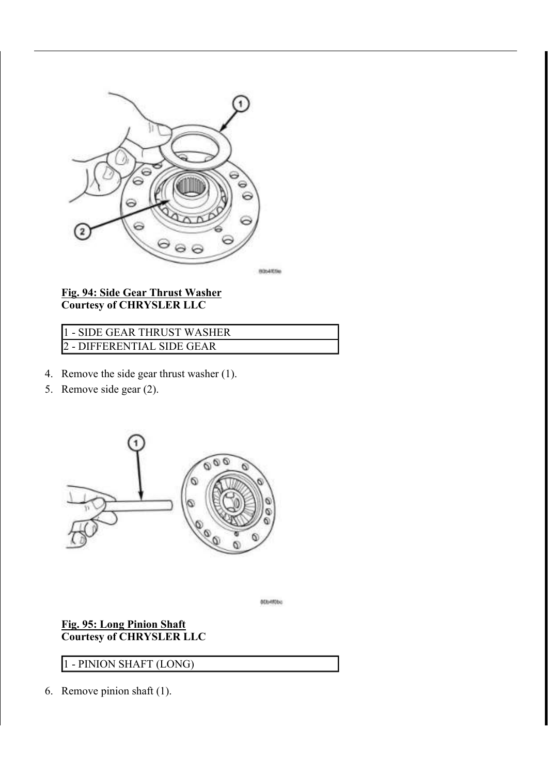

#### Fig. 94: Side Gear Thrust Washer Courtesy of CHRYSLER LLC

# 1 - SIDE GEAR THRUST WASHER 2 - DIFFERENTIAL SIDE GEAR

- 4. Remove the side gear thrust washer (1).
- 5. Remove side gear (2).



80b4f0bc

### Fig. 95: Long Pinion Shaft Courtesy of CHRYSLER LLC

## 1 - PINION SHAFT (LONG)

6. Remove pinion shaft (1).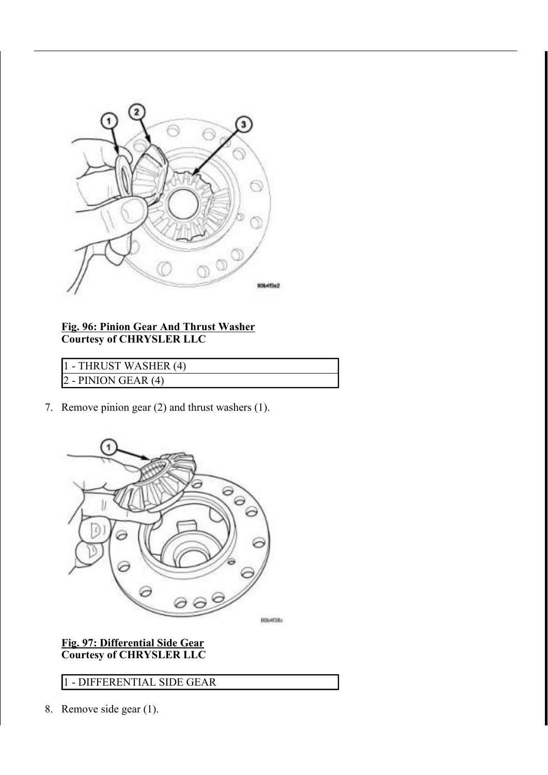

Fig. 96: Pinion Gear And Thrust Washer Courtesy of CHRYSLER LLC

1 - THRUST WASHER (4) 2 - PINION GEAR (4)

7. Remove pinion gear (2) and thrust washers (1).



### Fig. 97: Differential Side Gear Courtesy of CHRYSLER LLC

1 - DIFFERENTIAL SIDE GEAR

8. Remove side gear (1).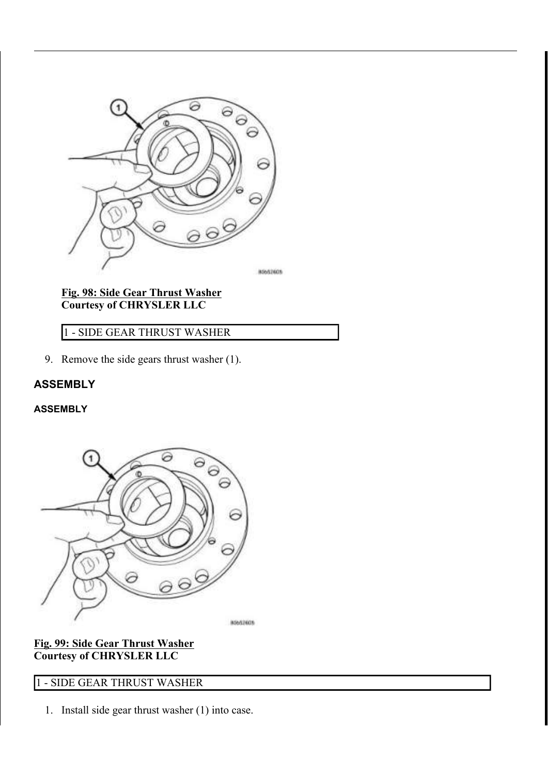

Fig. 98: Side Gear Thrust Washer Courtesy of CHRYSLER LLC

1 - SIDE GEAR THRUST WASHER

9. Remove the side gears thrust washer (1).

# ASSEMBLY

ASSEMBLY



Fig. 99: Side Gear Thrust Washer Courtesy of CHRYSLER LLC

# 1 - SIDE GEAR THRUST WASHER

1. Install side gear thrust washer (1) into case.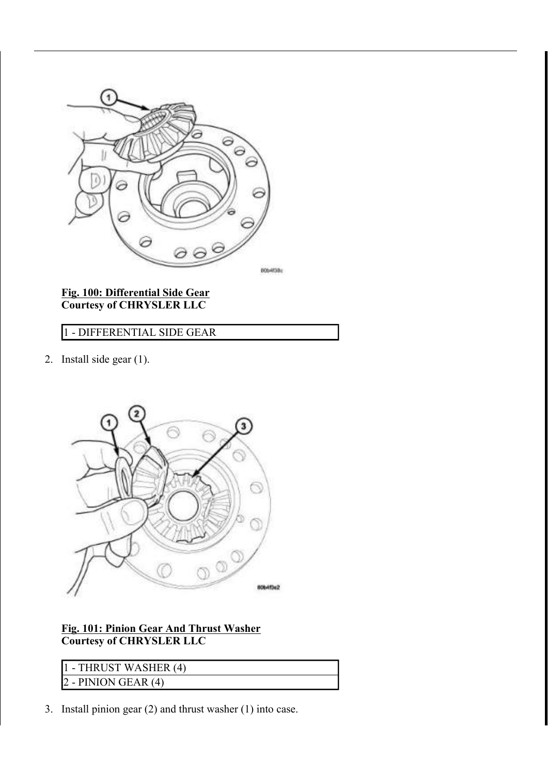

#### Fig. 100: Differential Side Gear Courtesy of CHRYSLER LLC

# 1 - DIFFERENTIAL SIDE GEAR

2. Install side gear (1).



### Fig. 101: Pinion Gear And Thrust Washer Courtesy of CHRYSLER LLC

| 11 - THRUST WASHER (4)      |  |
|-----------------------------|--|
| $\vert$ 2 - PINION GEAR (4) |  |

3. Install pinion gear (2) and thrust washer (1) into case.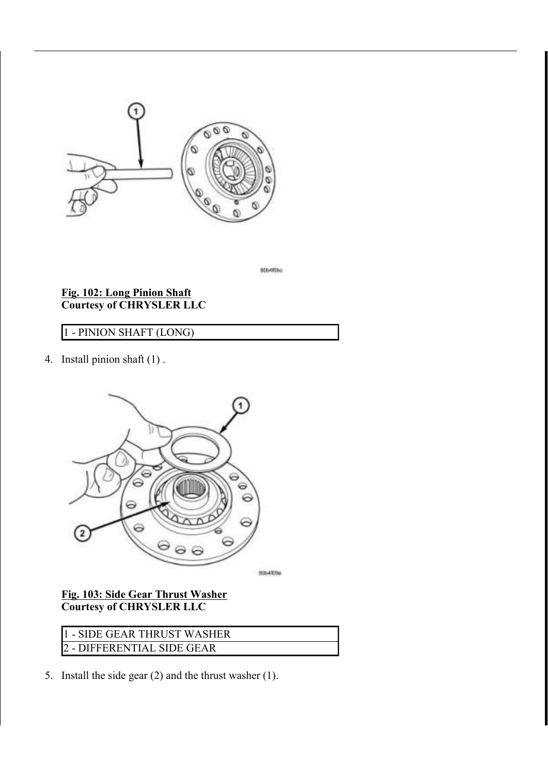

acoerdoo

#### Fig. 102: Long Pinion Shaft Courtesy of CHRYSLER LLC

# 1 - PINION SHAFT (LONG)

4. Install pinion shaft (1) .



## Fig. 103: Side Gear Thrust Washer Courtesy of CHRYSLER LLC

1 - SIDE GEAR THRUST WASHER 2 - DIFFERENTIAL SIDE GEAR

5. Install the side gear (2) and the thrust washer (1).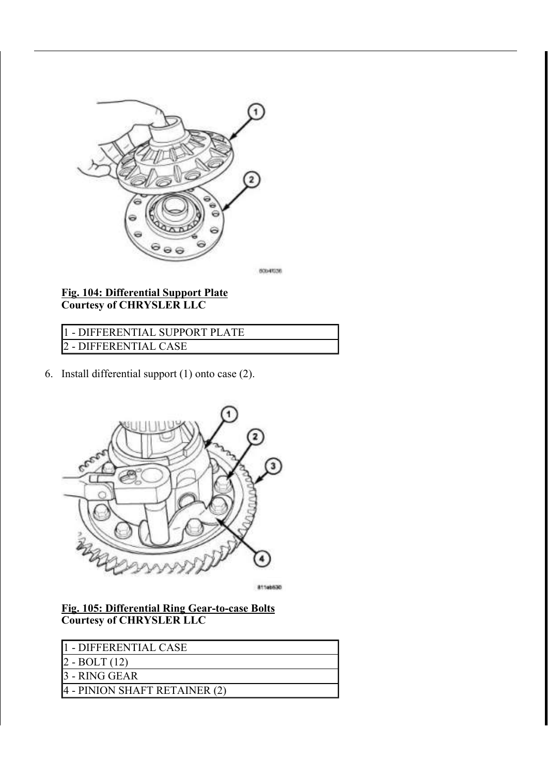

#### Fig. 104: Differential Support Plate Courtesy of CHRYSLER LLC

1 - DIFFERENTIAL SUPPORT PLATE 2 - DIFFERENTIAL CASE

6. Install differential support (1) onto case (2).



81146530

### Fig. 105: Differential Ring Gear-to-case Bolts Courtesy of CHRYSLER LLC

| 11 - DIFFERENTIAL CASE        |
|-------------------------------|
| $ 2 - BOLT(12) $              |
| 13 - RING GEAR                |
| 4 - PINION SHAFT RETAINER (2) |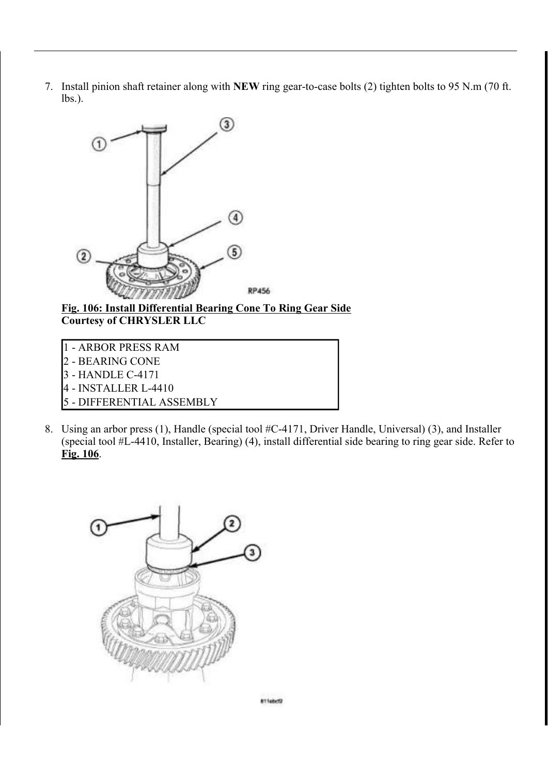7. Install pinion shaft retainer along with NEW ring gear-to-case bolts (2) tighten bolts to 95 N.m (70 ft. lbs.).



Fig. 106: Install Differential Bearing Cone To Ring Gear Side Courtesy of CHRYSLER LLC

- 1 ARBOR PRESS RAM 2 - BEARING CONE 3 - HANDLE C-4171
- 4 INSTALLER L-4410
- 5 DIFFERENTIAL ASSEMBLY
- 8. Using an arbor press (1), Handle (special tool #C-4171, Driver Handle, Universal) (3), and Installer (special tool #L-4410, Installer, Bearing) (4), install differential side bearing to ring gear side. Refer to Fig. 106.